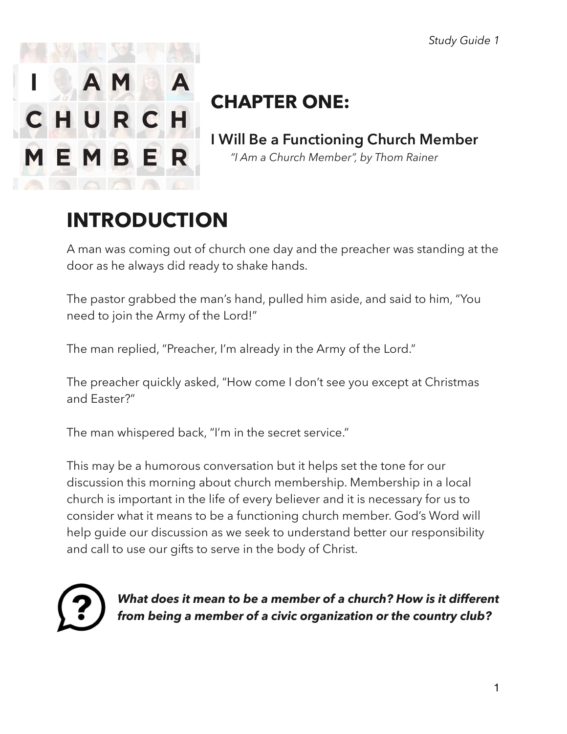

# **CHAPTER ONE:**

**I Will Be a Functioning Church Member**   *"I Am a Church Member", by Thom Rainer* 

# **INTRODUCTION**

A man was coming out of church one day and the preacher was standing at the door as he always did ready to shake hands.

The pastor grabbed the man's hand, pulled him aside, and said to him, "You need to join the Army of the Lord!"

The man replied, "Preacher, I'm already in the Army of the Lord."

The preacher quickly asked, "How come I don't see you except at Christmas and Easter?"

The man whispered back, "I'm in the secret service."

This may be a humorous conversation but it helps set the tone for our discussion this morning about church membership. Membership in a local church is important in the life of every believer and it is necessary for us to consider what it means to be a functioning church member. God's Word will help guide our discussion as we seek to understand better our responsibility and call to use our gifts to serve in the body of Christ.



*What does it mean to be a member of a church? How is it different from being a member of a civic organization or the country club?*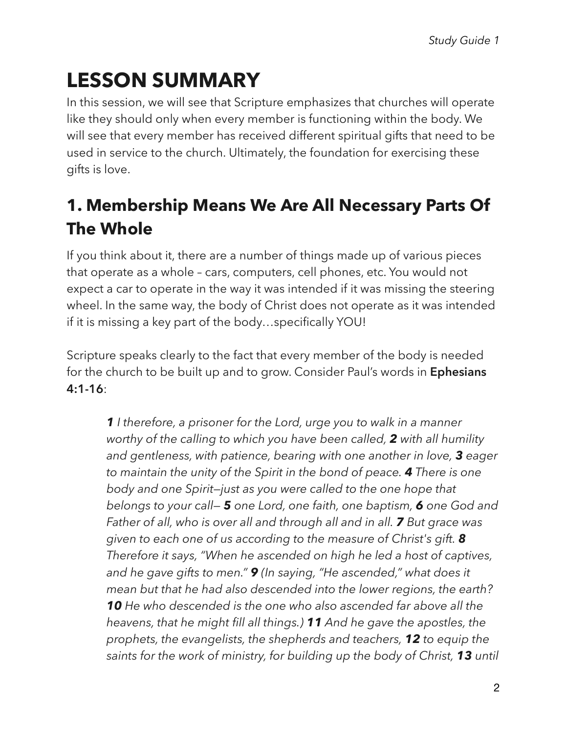# **LESSON SUMMARY**

In this session, we will see that Scripture emphasizes that churches will operate like they should only when every member is functioning within the body. We will see that every member has received different spiritual gifts that need to be used in service to the church. Ultimately, the foundation for exercising these gifts is love.

## **1. Membership Means We Are All Necessary Parts Of The Whole**

If you think about it, there are a number of things made up of various pieces that operate as a whole – cars, computers, cell phones, etc. You would not expect a car to operate in the way it was intended if it was missing the steering wheel. In the same way, the body of Christ does not operate as it was intended if it is missing a key part of the body…specifically YOU!

Scripture speaks clearly to the fact that every member of the body is needed for the church to be built up and to grow. Consider Paul's words in **Ephesians 4:1-16**:

*1 I therefore, a prisoner for the Lord, urge you to walk in a manner worthy of the calling to which you have been called, 2 with all humility and gentleness, with patience, bearing with one another in love, 3 eager to maintain the unity of the Spirit in the bond of peace. 4 There is one body and one Spirit—just as you were called to the one hope that belongs to your call— 5 one Lord, one faith, one baptism, 6 one God and Father of all, who is over all and through all and in all. 7 But grace was given to each one of us according to the measure of Christ's gift. 8 Therefore it says, "When he ascended on high he led a host of captives, and he gave gifts to men." 9 (In saying, "He ascended," what does it mean but that he had also descended into the lower regions, the earth? 10 He who descended is the one who also ascended far above all the heavens, that he might fill all things.) 11 And he gave the apostles, the prophets, the evangelists, the shepherds and teachers, 12 to equip the saints for the work of ministry, for building up the body of Christ, 13 until*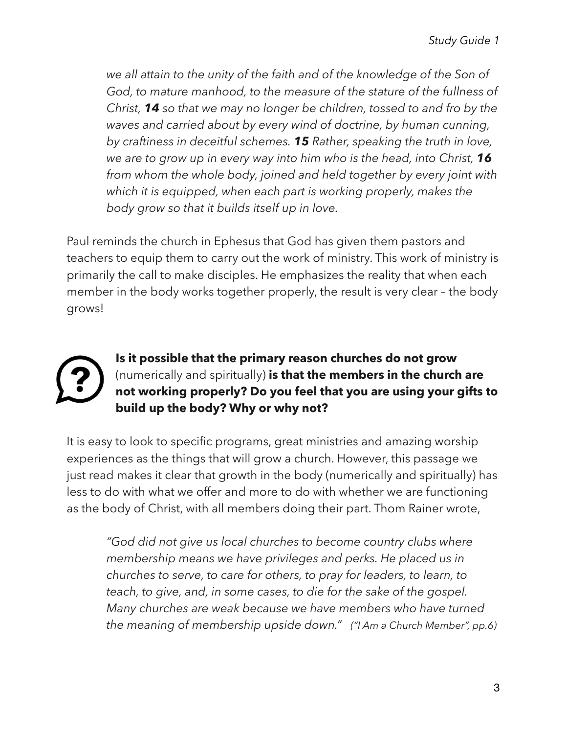*we all attain to the unity of the faith and of the knowledge of the Son of God, to mature manhood, to the measure of the stature of the fullness of Christ, 14 so that we may no longer be children, tossed to and fro by the waves and carried about by every wind of doctrine, by human cunning, by craftiness in deceitful schemes. 15 Rather, speaking the truth in love, we are to grow up in every way into him who is the head, into Christ, 16 from whom the whole body, joined and held together by every joint with which it is equipped, when each part is working properly, makes the body grow so that it builds itself up in love.* 

Paul reminds the church in Ephesus that God has given them pastors and teachers to equip them to carry out the work of ministry. This work of ministry is primarily the call to make disciples. He emphasizes the reality that when each member in the body works together properly, the result is very clear – the body grows!



**Is it possible that the primary reason churches do not grow**  (numerically and spiritually) **is that the members in the church are not working properly? Do you feel that you are using your gifts to build up the body? Why or why not?** 

It is easy to look to specific programs, great ministries and amazing worship experiences as the things that will grow a church. However, this passage we just read makes it clear that growth in the body (numerically and spiritually) has less to do with what we offer and more to do with whether we are functioning as the body of Christ, with all members doing their part. Thom Rainer wrote,

*"God did not give us local churches to become country clubs where membership means we have privileges and perks. He placed us in churches to serve, to care for others, to pray for leaders, to learn, to teach, to give, and, in some cases, to die for the sake of the gospel. Many churches are weak because we have members who have turned the meaning of membership upside down." ("I Am a Church Member", pp.6)*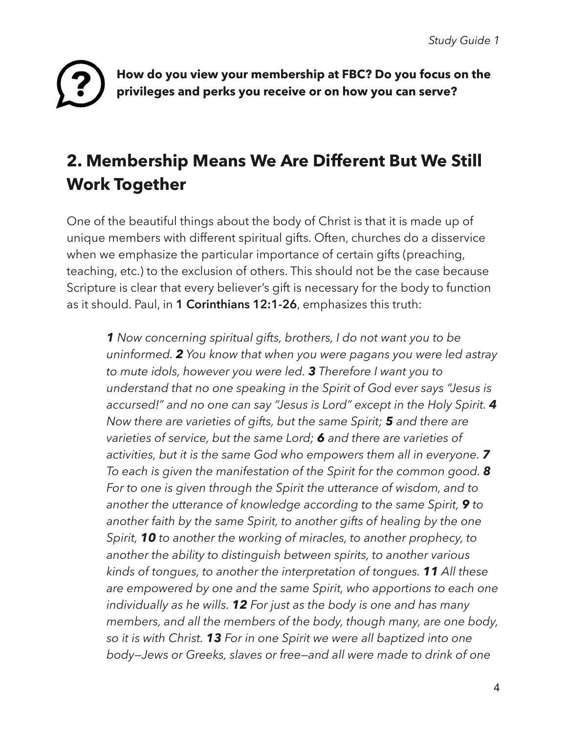

**How do you view your membership at FBC? Do you focus on the privileges and perks you receive or on how you can serve?** 

### **2. Membership Means We Are Different But We Still Work Together**

One of the beautiful things about the body of Christ is that it is made up of unique members with different spiritual gifts. Often, churches do a disservice when we emphasize the particular importance of certain gifts (preaching, teaching, etc.) to the exclusion of others. This should not be the case because Scripture is clear that every believer's gift is necessary for the body to function as it should. Paul, in **1 Corinthians 12:1-26**, emphasizes this truth:

*1 Now concerning spiritual gifts, brothers, I do not want you to be uninformed. 2 You know that when you were pagans you were led astray to mute idols, however you were led. 3 Therefore I want you to understand that no one speaking in the Spirit of God ever says "Jesus is accursed!" and no one can say "Jesus is Lord" except in the Holy Spirit. 4 Now there are varieties of gifts, but the same Spirit; 5 and there are varieties of service, but the same Lord; 6 and there are varieties of activities, but it is the same God who empowers them all in everyone. 7 To each is given the manifestation of the Spirit for the common good. 8 For to one is given through the Spirit the utterance of wisdom, and to another the utterance of knowledge according to the same Spirit, 9 to another faith by the same Spirit, to another gifts of healing by the one Spirit, 10 to another the working of miracles, to another prophecy, to another the ability to distinguish between spirits, to another various kinds of tongues, to another the interpretation of tongues. 11 All these are empowered by one and the same Spirit, who apportions to each one individually as he wills. 12 For just as the body is one and has many members, and all the members of the body, though many, are one body, so it is with Christ. 13 For in one Spirit we were all baptized into one body—Jews or Greeks, slaves or free—and all were made to drink of one*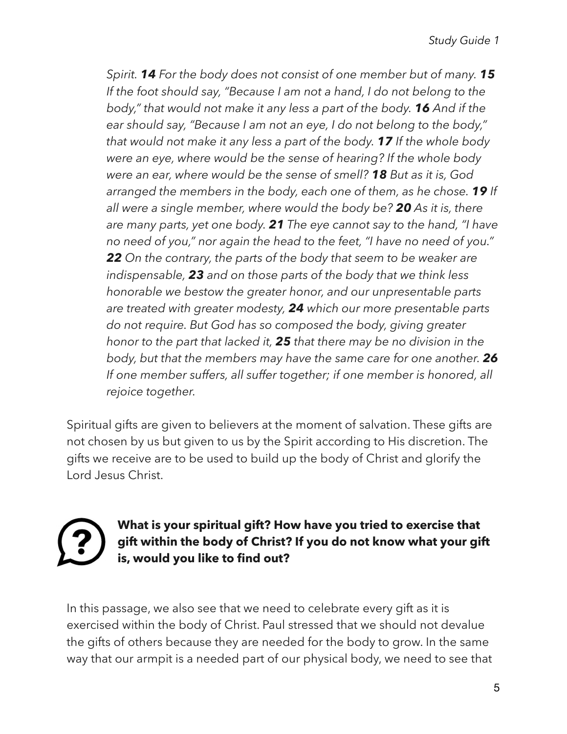*Spirit. 14 For the body does not consist of one member but of many. 15 If the foot should say, "Because I am not a hand, I do not belong to the body," that would not make it any less a part of the body. 16 And if the ear should say, "Because I am not an eye, I do not belong to the body," that would not make it any less a part of the body. 17 If the whole body were an eye, where would be the sense of hearing? If the whole body were an ear, where would be the sense of smell? 18 But as it is, God arranged the members in the body, each one of them, as he chose. 19 If all were a single member, where would the body be? 20 As it is, there are many parts, yet one body. 21 The eye cannot say to the hand, "I have no need of you," nor again the head to the feet, "I have no need of you." 22 On the contrary, the parts of the body that seem to be weaker are indispensable, 23 and on those parts of the body that we think less honorable we bestow the greater honor, and our unpresentable parts are treated with greater modesty, 24 which our more presentable parts do not require. But God has so composed the body, giving greater honor to the part that lacked it, 25 that there may be no division in the body, but that the members may have the same care for one another. 26 If one member suffers, all suffer together; if one member is honored, all rejoice together.* 

Spiritual gifts are given to believers at the moment of salvation. These gifts are not chosen by us but given to us by the Spirit according to His discretion. The gifts we receive are to be used to build up the body of Christ and glorify the Lord Jesus Christ.

### **What is your spiritual gift? How have you tried to exercise that gift within the body of Christ? If you do not know what your gift is, would you like to find out?**

In this passage, we also see that we need to celebrate every gift as it is exercised within the body of Christ. Paul stressed that we should not devalue the gifts of others because they are needed for the body to grow. In the same way that our armpit is a needed part of our physical body, we need to see that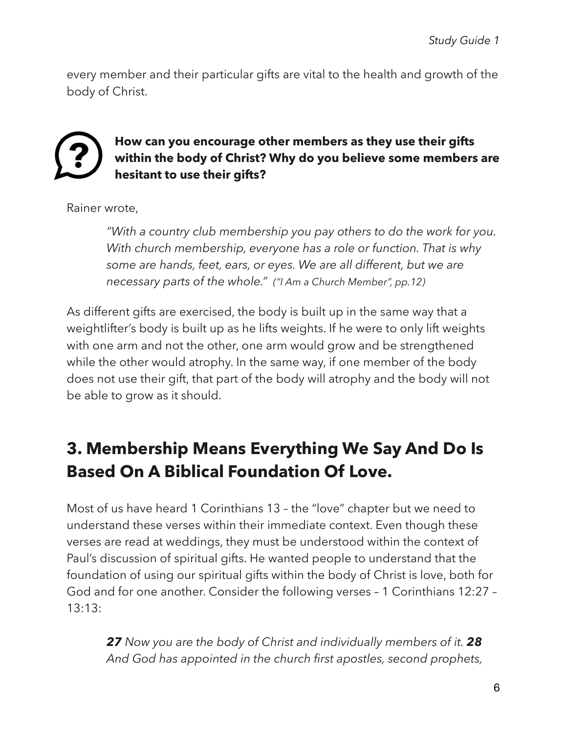every member and their particular gifts are vital to the health and growth of the body of Christ.



**How can you encourage other members as they use their gifts within the body of Christ? Why do you believe some members are hesitant to use their gifts?** 

Rainer wrote,

*"With a country club membership you pay others to do the work for you. With church membership, everyone has a role or function. That is why some are hands, feet, ears, or eyes. We are all different, but we are necessary parts of the whole." ("I Am a Church Member", pp.12)* 

As different gifts are exercised, the body is built up in the same way that a weightlifter's body is built up as he lifts weights. If he were to only lift weights with one arm and not the other, one arm would grow and be strengthened while the other would atrophy. In the same way, if one member of the body does not use their gift, that part of the body will atrophy and the body will not be able to grow as it should.

## **3. Membership Means Everything We Say And Do Is Based On A Biblical Foundation Of Love.**

Most of us have heard 1 Corinthians 13 – the "love" chapter but we need to understand these verses within their immediate context. Even though these verses are read at weddings, they must be understood within the context of Paul's discussion of spiritual gifts. He wanted people to understand that the foundation of using our spiritual gifts within the body of Christ is love, both for God and for one another. Consider the following verses – 1 Corinthians 12:27 – 13:13:

*27 Now you are the body of Christ and individually members of it. 28 And God has appointed in the church first apostles, second prophets,*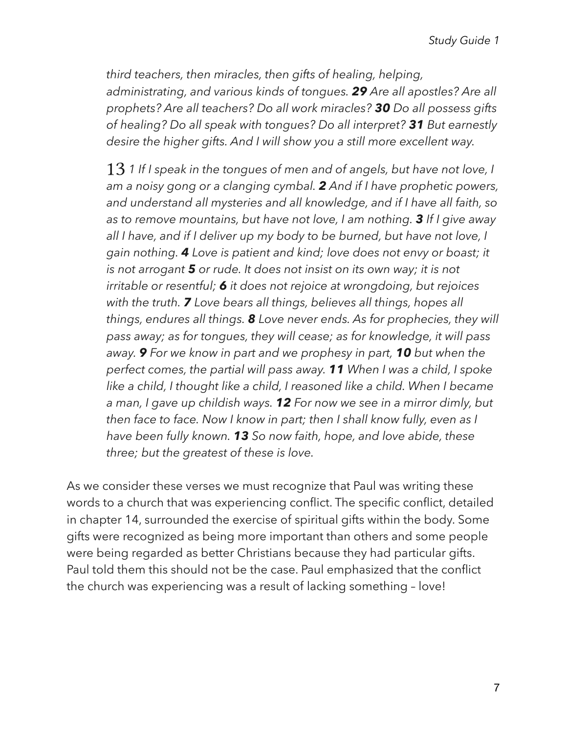*third teachers, then miracles, then gifts of healing, helping, administrating, and various kinds of tongues. 29 Are all apostles? Are all prophets? Are all teachers? Do all work miracles? 30 Do all possess gifts of healing? Do all speak with tongues? Do all interpret? 31 But earnestly desire the higher gifts. And I will show you a still more excellent way.* 

13 *1 If I speak in the tongues of men and of angels, but have not love, I am a noisy gong or a clanging cymbal. 2 And if I have prophetic powers, and understand all mysteries and all knowledge, and if I have all faith, so as to remove mountains, but have not love, I am nothing. 3 If I give away all I have, and if I deliver up my body to be burned, but have not love, I gain nothing. 4 Love is patient and kind; love does not envy or boast; it is not arrogant 5 or rude. It does not insist on its own way; it is not irritable or resentful; 6 it does not rejoice at wrongdoing, but rejoices with the truth. 7 Love bears all things, believes all things, hopes all things, endures all things. 8 Love never ends. As for prophecies, they will pass away; as for tongues, they will cease; as for knowledge, it will pass away. 9 For we know in part and we prophesy in part, 10 but when the perfect comes, the partial will pass away. 11 When I was a child, I spoke like a child, I thought like a child, I reasoned like a child. When I became a man, I gave up childish ways. 12 For now we see in a mirror dimly, but then face to face. Now I know in part; then I shall know fully, even as I have been fully known. 13 So now faith, hope, and love abide, these three; but the greatest of these is love.* 

As we consider these verses we must recognize that Paul was writing these words to a church that was experiencing conflict. The specific conflict, detailed in chapter 14, surrounded the exercise of spiritual gifts within the body. Some gifts were recognized as being more important than others and some people were being regarded as better Christians because they had particular gifts. Paul told them this should not be the case. Paul emphasized that the conflict the church was experiencing was a result of lacking something – love!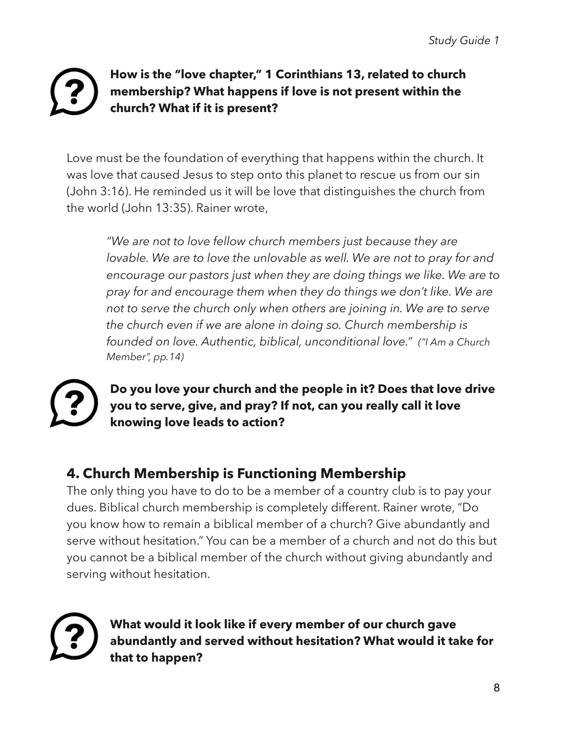### **How is the "love chapter," 1 Corinthians 13, related to church membership? What happens if love is not present within the church? What if it is present?**

Love must be the foundation of everything that happens within the church. It was love that caused Jesus to step onto this planet to rescue us from our sin (John 3:16). He reminded us it will be love that distinguishes the church from the world (John 13:35). Rainer wrote,

*"We are not to love fellow church members just because they are lovable. We are to love the unlovable as well. We are not to pray for and encourage our pastors just when they are doing things we like. We are to pray for and encourage them when they do things we don't like. We are not to serve the church only when others are joining in. We are to serve the church even if we are alone in doing so. Church membership is founded on love. Authentic, biblical, unconditional love." ("I Am a Church Member", pp.14)* 



**Do you love your church and the people in it? Does that love drive you to serve, give, and pray? If not, can you really call it love knowing love leads to action?** 

### **4. Church Membership is Functioning Membership**

The only thing you have to do to be a member of a country club is to pay your dues. Biblical church membership is completely different. Rainer wrote, "Do you know how to remain a biblical member of a church? Give abundantly and serve without hesitation." You can be a member of a church and not do this but you cannot be a biblical member of the church without giving abundantly and serving without hesitation.



**What would it look like if every member of our church gave abundantly and served without hesitation? What would it take for that to happen?**